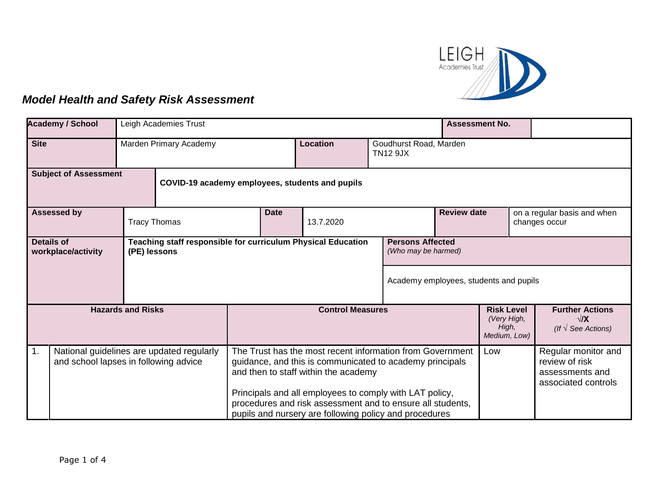

## *Model Health and Safety Risk Assessment*

|                                                         | <b>Academy / School</b>                                                            | Leigh Academies Trust                           |                                                                                                                      |                                                                                                                                                                                                                          |                 | <b>Assessment No.</b>                                     |                                              |                                                                     |                                                                                 |  |
|---------------------------------------------------------|------------------------------------------------------------------------------------|-------------------------------------------------|----------------------------------------------------------------------------------------------------------------------|--------------------------------------------------------------------------------------------------------------------------------------------------------------------------------------------------------------------------|-----------------|-----------------------------------------------------------|----------------------------------------------|---------------------------------------------------------------------|---------------------------------------------------------------------------------|--|
| <b>Site</b><br>Marden Primary Academy                   |                                                                                    |                                                 |                                                                                                                      |                                                                                                                                                                                                                          | <b>Location</b> |                                                           | Goudhurst Road, Marden<br><b>TN12 9JX</b>    |                                                                     |                                                                                 |  |
| <b>Subject of Assessment</b>                            |                                                                                    | COVID-19 academy employees, students and pupils |                                                                                                                      |                                                                                                                                                                                                                          |                 |                                                           |                                              |                                                                     |                                                                                 |  |
|                                                         | <b>Assessed by</b><br><b>Date</b><br>13.7.2020<br><b>Tracy Thomas</b>              |                                                 |                                                                                                                      | <b>Review date</b>                                                                                                                                                                                                       |                 |                                                           | on a regular basis and when<br>changes occur |                                                                     |                                                                                 |  |
| <b>Details of</b><br>workplace/activity<br>(PE) lessons |                                                                                    |                                                 | Teaching staff responsible for curriculum Physical Education                                                         |                                                                                                                                                                                                                          |                 | <b>Persons Affected</b><br>(Who may be harmed)            |                                              |                                                                     |                                                                                 |  |
|                                                         |                                                                                    |                                                 | Academy employees, students and pupils                                                                               |                                                                                                                                                                                                                          |                 |                                                           |                                              |                                                                     |                                                                                 |  |
| <b>Hazards and Risks</b>                                |                                                                                    |                                                 | <b>Control Measures</b>                                                                                              |                                                                                                                                                                                                                          |                 | <b>Risk Level</b><br>(Very High,<br>High,<br>Medium, Low) |                                              | <b>Further Actions</b><br>$\sqrt{X}$<br>(If $\sqrt{ }$ See Actions) |                                                                                 |  |
| $\mathbf{1}$ .                                          | National guidelines are updated regularly<br>and school lapses in following advice |                                                 |                                                                                                                      | The Trust has the most recent information from Government<br>guidance, and this is communicated to academy principals<br>and then to staff within the academy<br>Principals and all employees to comply with LAT policy, |                 |                                                           | Low                                          |                                                                     | Regular monitor and<br>review of risk<br>assessments and<br>associated controls |  |
|                                                         |                                                                                    |                                                 | procedures and risk assessment and to ensure all students,<br>pupils and nursery are following policy and procedures |                                                                                                                                                                                                                          |                 |                                                           |                                              |                                                                     |                                                                                 |  |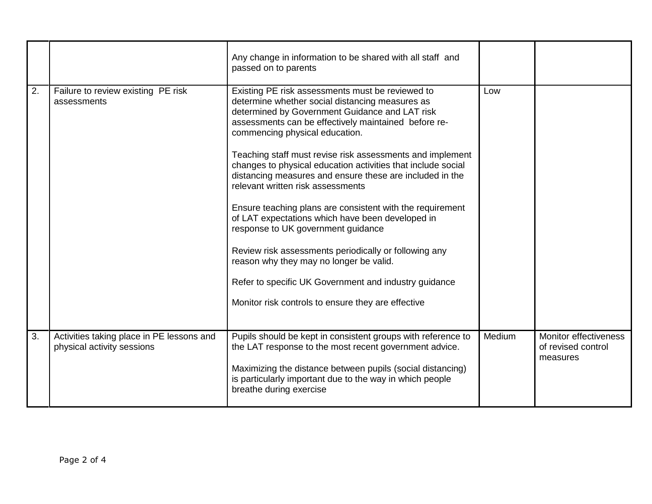|    |                                                                         | Any change in information to be shared with all staff and<br>passed on to parents                                                                                                                                                                                                                                                                                                                                                                                                                                                                                                                                                                                                                                                                                                                                                                       |        |                                                                |
|----|-------------------------------------------------------------------------|---------------------------------------------------------------------------------------------------------------------------------------------------------------------------------------------------------------------------------------------------------------------------------------------------------------------------------------------------------------------------------------------------------------------------------------------------------------------------------------------------------------------------------------------------------------------------------------------------------------------------------------------------------------------------------------------------------------------------------------------------------------------------------------------------------------------------------------------------------|--------|----------------------------------------------------------------|
| 2. | Failure to review existing PE risk<br>assessments                       | Existing PE risk assessments must be reviewed to<br>determine whether social distancing measures as<br>determined by Government Guidance and LAT risk<br>assessments can be effectively maintained before re-<br>commencing physical education.<br>Teaching staff must revise risk assessments and implement<br>changes to physical education activities that include social<br>distancing measures and ensure these are included in the<br>relevant written risk assessments<br>Ensure teaching plans are consistent with the requirement<br>of LAT expectations which have been developed in<br>response to UK government guidance<br>Review risk assessments periodically or following any<br>reason why they may no longer be valid.<br>Refer to specific UK Government and industry guidance<br>Monitor risk controls to ensure they are effective | Low    |                                                                |
| 3. | Activities taking place in PE lessons and<br>physical activity sessions | Pupils should be kept in consistent groups with reference to<br>the LAT response to the most recent government advice.<br>Maximizing the distance between pupils (social distancing)<br>is particularly important due to the way in which people<br>breathe during exercise                                                                                                                                                                                                                                                                                                                                                                                                                                                                                                                                                                             | Medium | <b>Monitor effectiveness</b><br>of revised control<br>measures |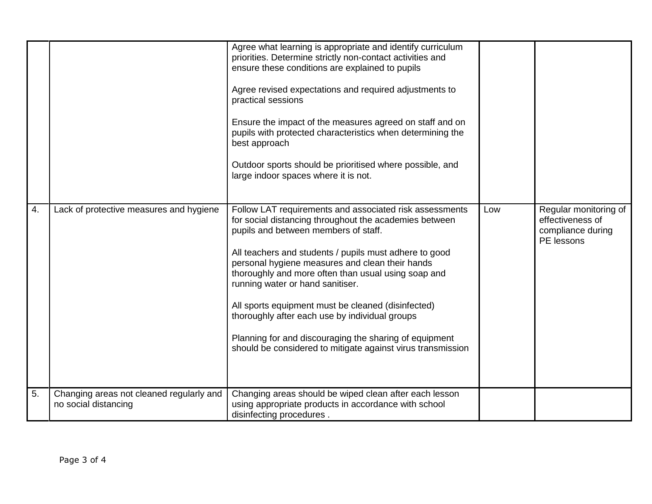|    |                                                                  | Agree what learning is appropriate and identify curriculum<br>priorities. Determine strictly non-contact activities and<br>ensure these conditions are explained to pupils<br>Agree revised expectations and required adjustments to<br>practical sessions<br>Ensure the impact of the measures agreed on staff and on<br>pupils with protected characteristics when determining the<br>best approach<br>Outdoor sports should be prioritised where possible, and<br>large indoor spaces where it is not.                                                                                          |     |                                                                              |
|----|------------------------------------------------------------------|----------------------------------------------------------------------------------------------------------------------------------------------------------------------------------------------------------------------------------------------------------------------------------------------------------------------------------------------------------------------------------------------------------------------------------------------------------------------------------------------------------------------------------------------------------------------------------------------------|-----|------------------------------------------------------------------------------|
| 4. | Lack of protective measures and hygiene                          | Follow LAT requirements and associated risk assessments<br>for social distancing throughout the academies between<br>pupils and between members of staff.<br>All teachers and students / pupils must adhere to good<br>personal hygiene measures and clean their hands<br>thoroughly and more often than usual using soap and<br>running water or hand sanitiser.<br>All sports equipment must be cleaned (disinfected)<br>thoroughly after each use by individual groups<br>Planning for and discouraging the sharing of equipment<br>should be considered to mitigate against virus transmission | Low | Regular monitoring of<br>effectiveness of<br>compliance during<br>PE lessons |
| 5. | Changing areas not cleaned regularly and<br>no social distancing | Changing areas should be wiped clean after each lesson<br>using appropriate products in accordance with school<br>disinfecting procedures.                                                                                                                                                                                                                                                                                                                                                                                                                                                         |     |                                                                              |